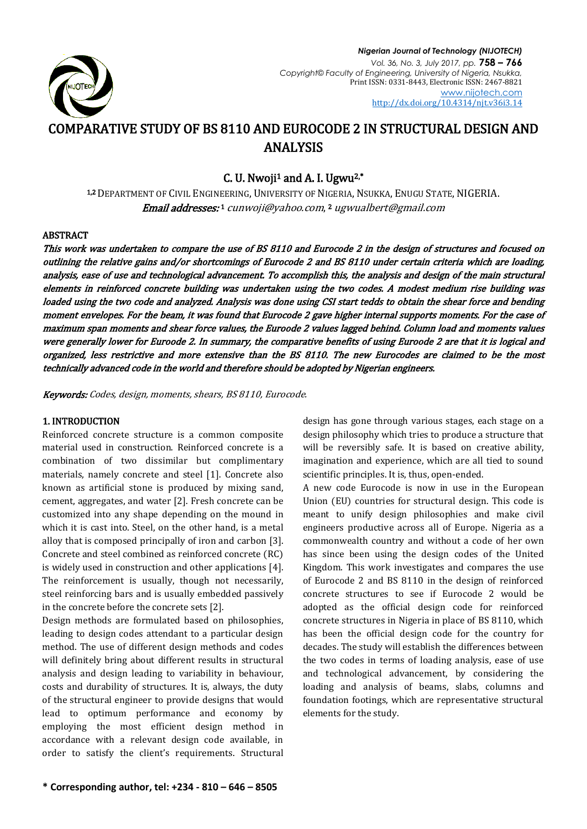

#### *Nigerian Journal of Technology (NIJOTECH) Vol. 36, No. 3, July 2017, pp.* **758 – 766** *Copyright© Faculty of Engineering, University of Nigeria, Nsukka,*  Print ISSN: 0331-8443, Electronic ISSN: 2467-8821 [www.nijotech.com](http://www.nijotech.com/) <http://dx.doi.org/10.4314/njt.v36i3.14>

# COMPARATIVE STUDY OF BS 8110 AND EUROCODE 2 IN STRUCTURAL DESIGN AND ANALYSIS

C. U. Nwoji<sup>1</sup> and A. I. Ugwu<sup>2,\*</sup>

1,2 DEPARTMENT OF CIVIL ENGINEERING, UNIVERSITY OF NIGERIA, NSUKKA, ENUGU STATE, NIGERIA. **Email addresses:**1 [cunwoji@yahoo.com](mailto:cunwoji@yahoo.com),<sup>2</sup> ugwualbert@gmail.com

#### ABSTRACT

This work was undertaken to compare the use of BS 8110 and Eurocode 2 in the design of structures and focused on outlining the relative gains and/or shortcomings of Eurocode 2 and BS 8110 under certain criteria which are loading, analysis, ease of use and technological advancement. To accomplish this, the analysis and design of the main structural elements in reinforced concrete building was undertaken using the two codes. A modest medium rise building was loaded using the two code and analyzed. Analysis was done using CSI start tedds to obtain the shear force and bending moment envelopes. For the beam, it was found that Eurocode 2 gave higher internal supports moments. For the case of maximum span moments and shear force values, the Euroode 2 values lagged behind. Column load and moments values were generally lower for Euroode 2. In summary, the comparative benefits of using Euroode 2 are that it is logical and organized, less restrictive and more extensive than the BS 8110. The new Eurocodes are claimed to be the most technically advanced code in the world and therefore should be adopted by Nigerian engineers.

Keywords: Codes, design, moments, shears, BS 8110, Eurocode.

## 1. INTRODUCTION

Reinforced concrete structure is a common composite material used in construction. Reinforced concrete is a combination of two dissimilar but complimentary materials, namely concrete and steel [1]. Concrete also known as artificial stone is produced by mixing sand, cement, aggregates, and water [2]. Fresh concrete can be customized into any shape depending on the mound in which it is cast into. Steel, on the other hand, is a metal alloy that is composed principally of iron and carbon [3]. Concrete and steel combined as reinforced concrete (RC) is widely used in construction and other applications [4]. The reinforcement is usually, though not necessarily, steel reinforcing bars and is usually embedded passively in the concrete before the concrete sets [2].

Design methods are formulated based on philosophies, leading to design codes attendant to a particular design method. The use of different design methods and codes will definitely bring about different results in structural analysis and design leading to variability in behaviour, costs and durability of structures. It is, always, the duty of the structural engineer to provide designs that would lead to optimum performance and economy by employing the most efficient design method in accordance with a relevant design code available, in order to satisfy the client's requirements. Structural

design has gone through various stages, each stage on a design philosophy which tries to produce a structure that will be reversibly safe. It is based on creative ability, imagination and experience, which are all tied to sound scientific principles. It is, thus, open-ended.

A new code Eurocode is now in use in the European Union (EU) countries for structural design. This code is meant to unify design philosophies and make civil engineers productive across all of Europe. Nigeria as a commonwealth country and without a code of her own has since been using the design codes of the United Kingdom. This work investigates and compares the use of Eurocode 2 and BS 8110 in the design of reinforced concrete structures to see if Eurocode 2 would be adopted as the official design code for reinforced concrete structures in Nigeria in place of BS 8110, which has been the official design code for the country for decades. The study will establish the differences between the two codes in terms of loading analysis, ease of use and technological advancement, by considering the loading and analysis of beams, slabs, columns and foundation footings, which are representative structural elements for the study.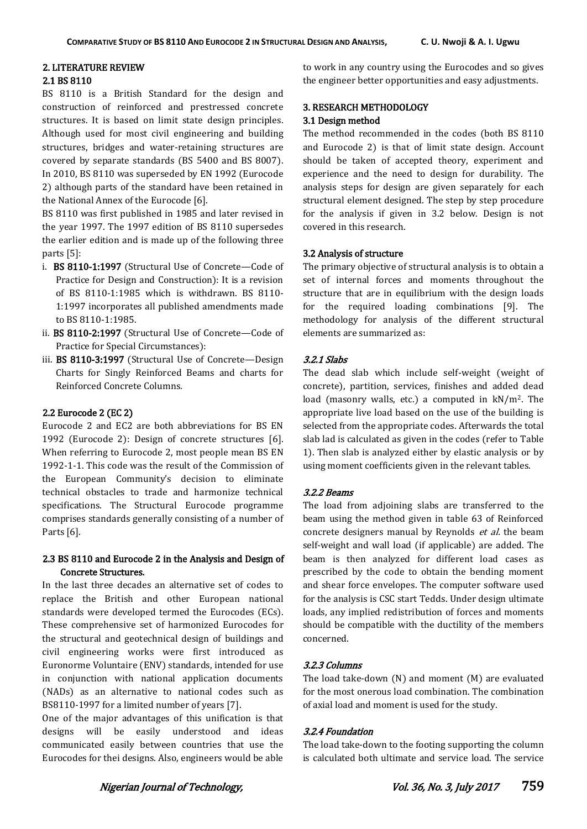# 2. LITERATURE REVIEW

# 2.1 BS 8110

BS 8110 is a British Standard for the design and construction of reinforced and prestressed concrete structures. It is based on limit state design principles. Although used for most civil engineering and building structures, bridges and water-retaining structures are covered by separate standards (BS 5400 and BS 8007). In 2010, BS 8110 was superseded by EN 1992 (Eurocode 2) although parts of the standard have been retained in the National Annex of the Eurocode [6].

BS 8110 was first published in 1985 and later revised in the year 1997. The 1997 edition of BS 8110 supersedes the earlier edition and is made up of the following three parts [5]:

- i. BS 8110-1:1997 (Structural Use of Concrete—Code of Practice for Design and Construction): It is a revision of BS 8110-1:1985 which is withdrawn. BS 8110- 1:1997 incorporates all published amendments made to BS 8110-1:1985.
- ii. BS 8110-2:1997 (Structural Use of Concrete—Code of Practice for Special Circumstances):
- iii. BS 8110-3:1997 (Structural Use of Concrete—Design Charts for Singly Reinforced Beams and charts for Reinforced Concrete Columns.

# 2.2 Eurocode 2 (EC 2)

Eurocode 2 and EC2 are both abbreviations for BS EN 1992 (Eurocode 2): Design of concrete structures [6]. When referring to Eurocode 2, most people mean BS EN 1992-1-1. This code was the result of the Commission of the European Community's decision to eliminate technical obstacles to trade and harmonize technical specifications. The Structural Eurocode programme comprises standards generally consisting of a number of Parts [6].

## 2.3 BS 8110 and Eurocode 2 in the Analysis and Design of Concrete Structures.

In the last three decades an alternative set of codes to replace the British and other European national standards were developed termed the Eurocodes (ECs). These comprehensive set of harmonized Eurocodes for the structural and geotechnical design of buildings and civil engineering works were first introduced as Euronorme Voluntaire (ENV) standards, intended for use in conjunction with national application documents (NADs) as an alternative to national codes such as BS8110-1997 for a limited number of years [7].

One of the major advantages of this unification is that designs will be easily understood and ideas communicated easily between countries that use the Eurocodes for thei designs. Also, engineers would be able

to work in any country using the Eurocodes and so gives the engineer better opportunities and easy adjustments.

# 3. RESEARCH METHODOLOGY

### 3.1 Design method

The method recommended in the codes (both BS 8110 and Eurocode 2) is that of limit state design. Account should be taken of accepted theory, experiment and experience and the need to design for durability. The analysis steps for design are given separately for each structural element designed. The step by step procedure for the analysis if given in 3.2 below. Design is not covered in this research.

#### 3.2 Analysis of structure

The primary objective of structural analysis is to obtain a set of internal forces and moments throughout the structure that are in equilibrium with the design loads for the required loading combinations [9]. The methodology for analysis of the different structural elements are summarized as:

## 3.2.1 Slabs

The dead slab which include self-weight (weight of concrete), partition, services, finishes and added dead load (masonry walls, etc.) a computed in kN/m2. The appropriate live load based on the use of the building is selected from the appropriate codes. Afterwards the total slab lad is calculated as given in the codes (refer to Table 1). Then slab is analyzed either by elastic analysis or by using moment coefficients given in the relevant tables.

## 3.2.2 Beams

The load from adjoining slabs are transferred to the beam using the method given in table 63 of Reinforced concrete designers manual by Reynolds et al. the beam self-weight and wall load (if applicable) are added. The beam is then analyzed for different load cases as prescribed by the code to obtain the bending moment and shear force envelopes. The computer software used for the analysis is CSC start Tedds. Under design ultimate loads, any implied redistribution of forces and moments should be compatible with the ductility of the members concerned.

## 3.2.3 Columns

The load take-down (N) and moment (M) are evaluated for the most onerous load combination. The combination of axial load and moment is used for the study.

## 3.2.4 Foundation

The load take-down to the footing supporting the column is calculated both ultimate and service load. The service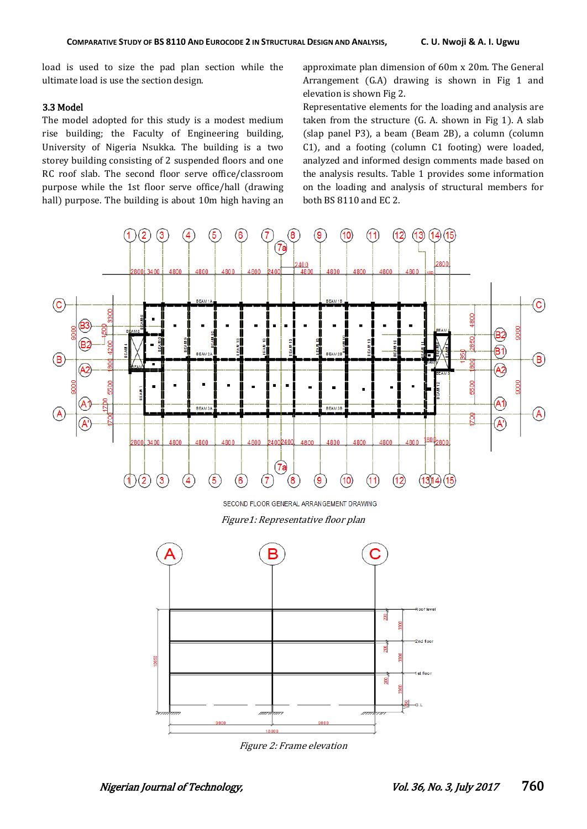load is used to size the pad plan section while the ultimate load is use the section design.

#### 3.3 Model

The model adopted for this study is a modest medium rise building; the Faculty of Engineering building, University of Nigeria Nsukka. The building is a two storey building consisting of 2 suspended floors and one RC roof slab. The second floor serve office/classroom purpose while the 1st floor serve office/hall (drawing hall) purpose. The building is about 10m high having an

approximate plan dimension of 60m x 20m. The General Arrangement (G.A) drawing is shown in Fig 1 and elevation is shown Fig 2.

Representative elements for the loading and analysis are taken from the structure (G. A. shown in Fig 1). A slab (slap panel P3), a beam (Beam 2B), a column (column C1), and a footing (column C1 footing) were loaded, analyzed and informed design comments made based on the analysis results. Table 1 provides some information on the loading and analysis of structural members for both BS 8110 and EC 2.



SECOND FLOOR GENERAL ARRANGEMENT DRAWING

Figure1: Representative floor plan



Figure 2: Frame elevation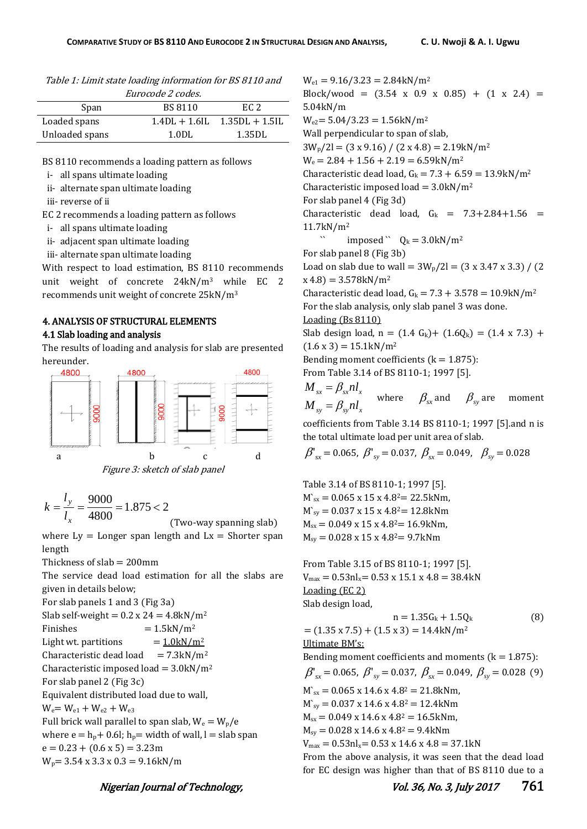| Table 1: Limit state loading information for BS 8110 and |  |
|----------------------------------------------------------|--|
|                                                          |  |

| <i>Eurocode 2 codes.</i> |                 |                  |  |  |
|--------------------------|-----------------|------------------|--|--|
| Span                     | <b>BS 8110</b>  | EC 2             |  |  |
| Loaded spans             | $1.4DL + 1.6IL$ | $1.35DL + 1.5IL$ |  |  |
| Unloaded spans           | 1.0DL           | 1.35DL           |  |  |

BS 8110 recommends a loading pattern as follows

i- all spans ultimate loading

ii- alternate span ultimate loading

iii- reverse of ii

EC 2 recommends a loading pattern as follows

i- all spans ultimate loading

ii- adjacent span ultimate loading

iii- alternate span ultimate loading

With respect to load estimation, BS 8110 recommends unit weight of concrete 24kN/m<sup>3</sup> while EC 2 recommends unit weight of concrete 25kN/m<sup>3</sup>

### 4. ANALYSIS OF STRUCTURAL ELEMENTS

#### 4.1 Slab loading and analysis

The results of loading and analysis for slab are presented hereunder.



$$
k = \frac{l_y}{l_x} = \frac{9000}{4800} = 1.875 < 2
$$

(Two-way spanning slab)

where  $Ly = Longer$  span length and  $Lx = Shorter$  span length

Thickness of  $slab = 200$ mm

The service dead load estimation for all the slabs are given in details below;

For slab panels 1 and 3 (Fig 3a) Slab self-weight =  $0.2$  x 24 =  $4.8$ kN/m<sup>2</sup> Finishes  $= 1.5 \text{kN/m}^2$ Light wt. partitions  $= 1.0 \text{kN/m}^2$ Characteristic dead load =  $7.3 \text{kN/m}^2$ Characteristic imposed load =  $3.0$ kN/m<sup>2</sup> For slab panel 2 (Fig 3c) Equivalent distributed load due to wall,  $W_e = W_{e1} + W_{e2} + W_{e3}$ Full brick wall parallel to span slab,  $W_e = W_p/e$ where  $e = h_p + 0.6l$ ;  $h_p$  = width of wall, l = slab span  $e = 0.23 + (0.6 \times 5) = 3.23$ m  $W_p$  = 3.54 x 3.3 x 0.3 = 9.16kN/m

 $W_{e1} = 9.16/3.23 = 2.84 \text{kN/m}^2$ Block/wood =  $(3.54 \times 0.9 \times 0.85)$  +  $(1 \times 2.4)$  = 5.04kN/m  $W_{e2} = 5.04/3.23 = 1.56kN/m^2$ Wall perpendicular to span of slab,  $3W_p/2 = (3 \times 9.16) / (2 \times 4.8) = 2.19 \text{kN/m}^2$  $W_e = 2.84 + 1.56 + 2.19 = 6.59$ kN/m<sup>2</sup> Characteristic dead load,  $G_k = 7.3 + 6.59 = 13.9$ kN/m<sup>2</sup> Characteristic imposed load =  $3.0$ kN/m<sup>2</sup> For slab panel 4 (Fig 3d) Characteristic dead load,  $G_k = 7.3 + 2.84 + 1.56 =$ 11.7kN/m<sup>2</sup> imposed  $\degree$  Q<sub>k</sub> = 3.0kN/m<sup>2</sup> For slab panel 8 (Fig 3b) Load on slab due to wall =  $3W_p/2$ l =  $(3 \times 3.47 \times 3.3) / (2)$  $x(4.8) = 3.578kN/m<sup>2</sup>$ Characteristic dead load,  $G_k = 7.3 + 3.578 = 10.9$ kN/m<sup>2</sup> For the slab analysis, only slab panel 3 was done. Loading (Bs 8110) Slab design load,  $n = (1.4 \text{ } G_k) + (1.6 Q_k) = (1.4 \text{ } x \text{ } 7.3) + (1.6 Q_k)$  $(1.6 \times 3) = 15.1 \text{kN/m}^2$ Bending moment coefficients ( $k = 1.875$ ): From Table 3.14 of BS 8110-1; 1997 [5].  $M_{sy} = \beta_{sy} n l_x$  $M_{sx} = \beta_{sx} n l_x$ where  $\beta_{sx}$  and  $\beta_{sy}$  are moment coefficients from Table 3.14 BS 8110-1; 1997 [5].and n is the total ultimate load per unit area of slab.  ${\beta'}_{\rm{sr}} = 0.065, \ {\beta'}_{\rm{sy}} = 0.037, \ {\beta_{\rm{sx}}} = 0.049, \ \ \ {\beta_{\rm{sy}}}=0.028$ 

Table 3.14 of BS 8110-1; 1997 [5].  $M_{sx}^s = 0.065 \times 15 \times 4.82 = 22.5 \text{kNm}$  $M_{sv}^s = 0.037 \times 15 \times 4.82 = 12.8$ kNm  $M_{sx}= 0.049 \times 15 \times 4.8^{2}= 16.9$ kNm,  $M_{sv} = 0.028 \times 15 \times 4.82 = 9.7$ kNm

From Table 3.15 of BS 8110-1; 1997 [5].  $V_{\text{max}} = 0.53 \text{nl}_x = 0.53 \times 15.1 \times 4.8 = 38.4 \text{kN}$ Loading (EC 2) Slab design load,  $n = 1.35G_k + 1.5Q_k$  (8)

= 
$$
(1.35 \times 7.5) + (1.5 \times 3) = 14.4 \text{kN/m}^2
$$
  
\nUltimate BM's:  
\nBending moment coefficients and moments (k = 1.875):  
\n $\beta'_{sx} = 0.065$ ,  $\beta'_{sy} = 0.037$ ,  $\beta_{sx} = 0.049$ ,  $\beta_{sy} = 0.028$  (9)  
\n $M_{sx} = 0.065 \times 14.6 \times 4.8^2 = 21.8 \text{kNm}$ ,  
\n $M_{sy} = 0.037 \times 14.6 \times 4.8^2 = 12.4 \text{kNm}$   
\n $M_{sx} = 0.049 \times 14.6 \times 4.8^2 = 16.5 \text{kNm}$ ,  
\n $M_{sy} = 0.028 \times 14.6 \times 4.8^2 = 9.4 \text{kNm}$   
\n $V_{max} = 0.53 \text{n}^1 = 0.53 \times 14.6 \times 4.8 = 37.1 \text{kN}$   
\nFrom the above analysis, it was seen that the dead load  
\nfor EC design was higher than that of BS 8110 due to a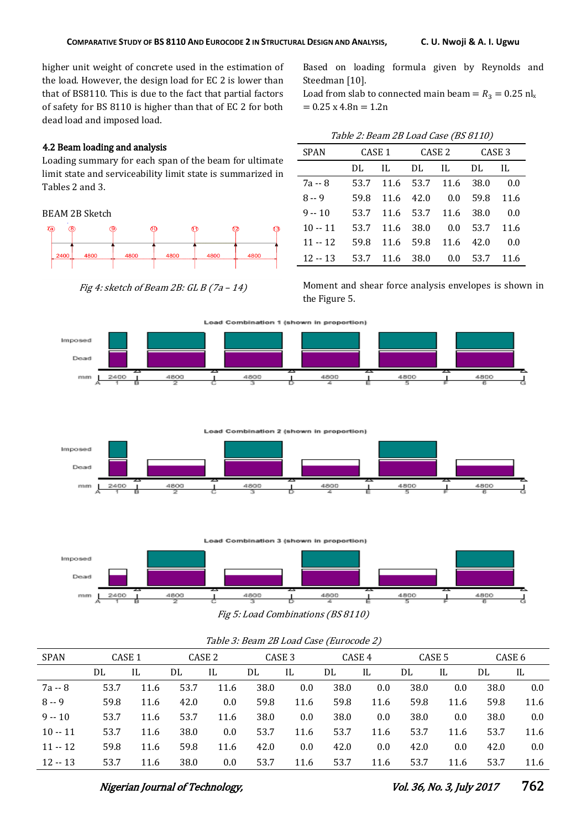higher unit weight of concrete used in the estimation of the load. However, the design load for EC 2 is lower than that of BS8110. This is due to the fact that partial factors of safety for BS 8110 is higher than that of EC 2 for both dead load and imposed load.

## 4.2 Beam loading and analysis

Loading summary for each span of the beam for ultimate limit state and serviceability limit state is summarized in Tables 2 and 3.

BEAM 2B Sketch



Fig 4: sketch of Beam 2B: GL B  $(7a - 14)$ 

Based on loading formula given by Reynolds and Steedman [10].

Load from slab to connected main beam =  $R_3 = 0.25$  nl<sub>x</sub>  $= 0.25$  x 4.8n  $= 1.2$ n

| <b>SPAN</b> | CASE 1 |      | CASE 2    |      | CASE <sub>3</sub> |      |
|-------------|--------|------|-----------|------|-------------------|------|
|             | DL.    | H.   | DL        | - IL | DL                | IL   |
| 7a -- 8     | 53.7   | 11.6 | 53.7      | 11.6 | 38.0              | 0.0  |
| $8 - 9$     | 59.8   | 11.6 | 42.0      | 0.0  | 59.8              | 11.6 |
| $9 - 10$    | 53.7   | 11.6 | 53.7      | 11.6 | 38.0              | 0.0  |
| $10 - 11$   | 53.7   | 11.6 | 38.0      | 0.0  | 53.7              | 11.6 |
| $11 - 12$   | 59.8   | 11.6 | 59.8      | 11.6 | 42.0              | 0.0  |
| $12 - 13$   | 53.7   |      | 11.6 38.0 | 0.0  | 53.7              | 11.6 |

Moment and shear force analysis envelopes is shown in the Figure 5.







| Table 3: Beam 2B Load Case (Eurocode 2) |                   |      |      |                   |      |                   |      |        |      |                   |      |        |
|-----------------------------------------|-------------------|------|------|-------------------|------|-------------------|------|--------|------|-------------------|------|--------|
| <b>SPAN</b>                             | CASE <sub>1</sub> |      |      | CASE <sub>2</sub> |      | CASE <sub>3</sub> |      | CASE 4 |      | CASE <sub>5</sub> |      | CASE 6 |
|                                         | DL                | IL   | DL   | IL                | DL   | IL                | DL   | IL     | DL   | IL                | DL   | IL     |
| 7a -- 8                                 | 53.7              | 11.6 | 53.7 | 11.6              | 38.0 | 0.0               | 38.0 | 0.0    | 38.0 | 0.0               | 38.0 | 0.0    |
| $8 - 9$                                 | 59.8              | 11.6 | 42.0 | 0.0               | 59.8 | 11.6              | 59.8 | 11.6   | 59.8 | 11.6              | 59.8 | 11.6   |
| $9 - 10$                                | 53.7              | 11.6 | 53.7 | 11.6              | 38.0 | 0.0               | 38.0 | 0.0    | 38.0 | 0.0               | 38.0 | 0.0    |
| $10 - 11$                               | 53.7              | 11.6 | 38.0 | 0.0               | 53.7 | 11.6              | 53.7 | 11.6   | 53.7 | 11.6              | 53.7 | 11.6   |
| $11 - 12$                               | 59.8              | 11.6 | 59.8 | 11.6              | 42.0 | 0.0               | 42.0 | 0.0    | 42.0 | 0.0               | 42.0 | 0.0    |
| $12 - 13$                               | 53.7              | 11.6 | 38.0 | 0.0               | 53.7 | 11.6              | 53.7 | 11.6   | 53.7 | 11.6              | 53.7 | 11.6   |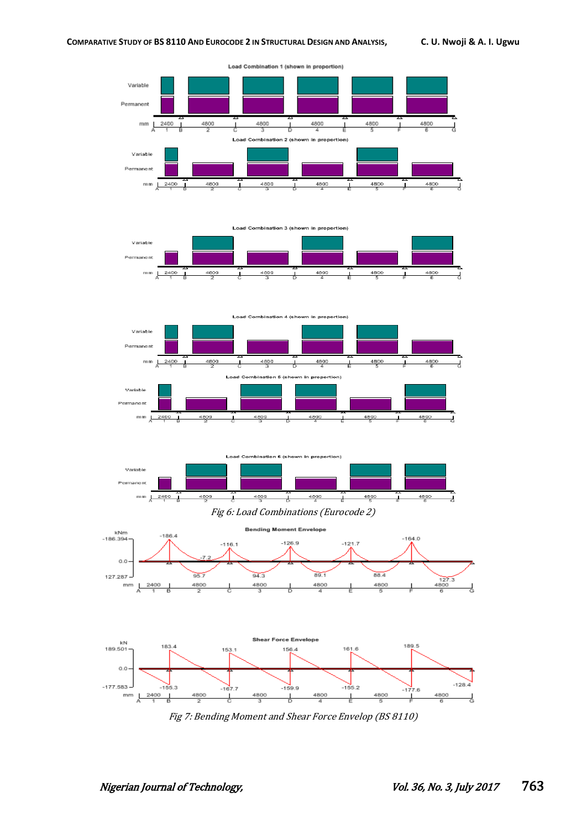

Load Combination 1 (shown in proportion)







Fig 6: Load Combinations (Eurocode 2)



Fig 7: Bending Moment and Shear Force Envelop (BS 8110)

4800

 $-159.9$ 

ᆛ

 $-155.2$ 

 $\overline{1}$ 

4800

 $-177.6$ 

 $\overline{1}$ 

4800

 $-155.3$ 

 $4800$ 

 $2400$ 

 $-167.7$ 

┚

4800

 $-177.583 -$ 

 $\mathbb{R}^m$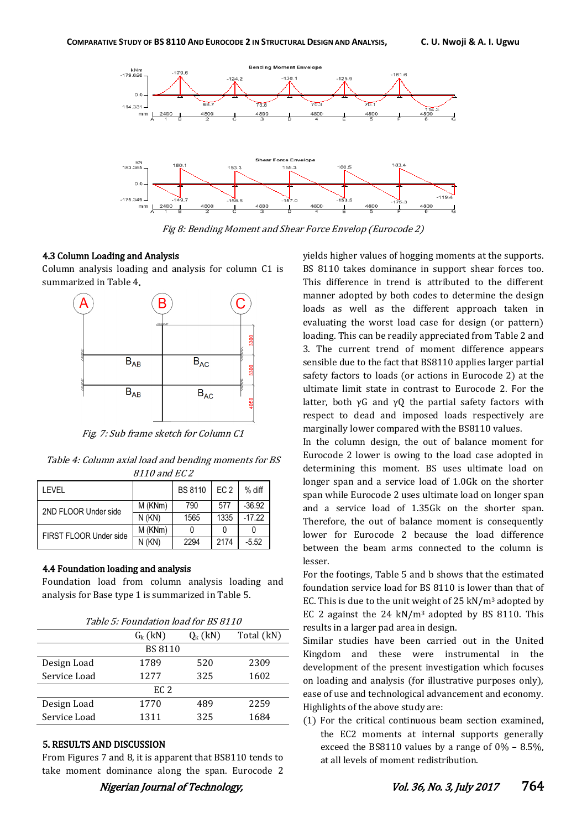

Fig 8: Bending Moment and Shear Force Envelop (Eurocode 2)

#### 4.3 Column Loading and Analysis

Column analysis loading and analysis for column C1 is summarized in Table 4.



Fig. 7: Sub frame sketch for Column C1

Table 4: Column axial load and bending moments for BS 8110 and EC 2

| I FVFI                 |              | <b>BS 8110</b> | EC <sub>2</sub> | $%$ diff |
|------------------------|--------------|----------------|-----------------|----------|
| 2ND FLOOR Under side   | M (KNm)      | 790            | 577             | $-36.92$ |
|                        | $N$ ( $KN$ ) | 1565           | 1335            | $-17.22$ |
| FIRST FLOOR Under side | M (KNm)      |                |                 |          |
|                        | $N$ ( $KN$ ) | 2294           | 2174            | $-5.52$  |

#### 4.4 Foundation loading and analysis

Foundation load from column analysis loading and analysis for Base type 1 is summarized in Table 5.

|              | $G_{k}$ (kN)   | $Q_{k}$ (kN) | Total (kN) |  |  |
|--------------|----------------|--------------|------------|--|--|
|              | <b>BS 8110</b> |              |            |  |  |
| Design Load  | 1789           | 520          | 2309       |  |  |
| Service Load | 12.77          | 325          | 1602       |  |  |
| EC 2         |                |              |            |  |  |
| Design Load  | 1770           | 489          | 2259       |  |  |
| Service Load | 1311           | 325          | 1684       |  |  |
|              |                |              |            |  |  |

#### 5. RESULTS AND DISCUSSION

From Figures 7 and 8, it is apparent that BS8110 tends to take moment dominance along the span. Eurocode 2 yields higher values of hogging moments at the supports. BS 8110 takes dominance in support shear forces too. This difference in trend is attributed to the different manner adopted by both codes to determine the design loads as well as the different approach taken in evaluating the worst load case for design (or pattern) loading. This can be readily appreciated from Table 2 and 3. The current trend of moment difference appears sensible due to the fact that BS8110 applies larger partial safety factors to loads (or actions in Eurocode 2) at the ultimate limit state in contrast to Eurocode 2. For the latter, both  $\gamma G$  and  $\gamma Q$  the partial safety factors with respect to dead and imposed loads respectively are marginally lower compared with the BS8110 values.

In the column design, the out of balance moment for Eurocode 2 lower is owing to the load case adopted in determining this moment. BS uses ultimate load on longer span and a service load of 1.0Gk on the shorter span while Eurocode 2 uses ultimate load on longer span and a service load of 1.35Gk on the shorter span. Therefore, the out of balance moment is consequently lower for Eurocode 2 because the load difference between the beam arms connected to the column is lesser.

For the footings, Table 5 and b shows that the estimated foundation service load for BS 8110 is lower than that of EC. This is due to the unit weight of  $25 \text{ kN/m}^3$  adopted by EC 2 against the  $24 \text{ kN/m}^3$  adopted by BS 8110. This results in a larger pad area in design.

Similar studies have been carried out in the United Kingdom and these were instrumental in the development of the present investigation which focuses on loading and analysis (for illustrative purposes only), ease of use and technological advancement and economy. Highlights of the above study are:

(1) For the critical continuous beam section examined, the EC2 moments at internal supports generally exceed the BS8110 values by a range of 0% – 8.5%, at all levels of moment redistribution.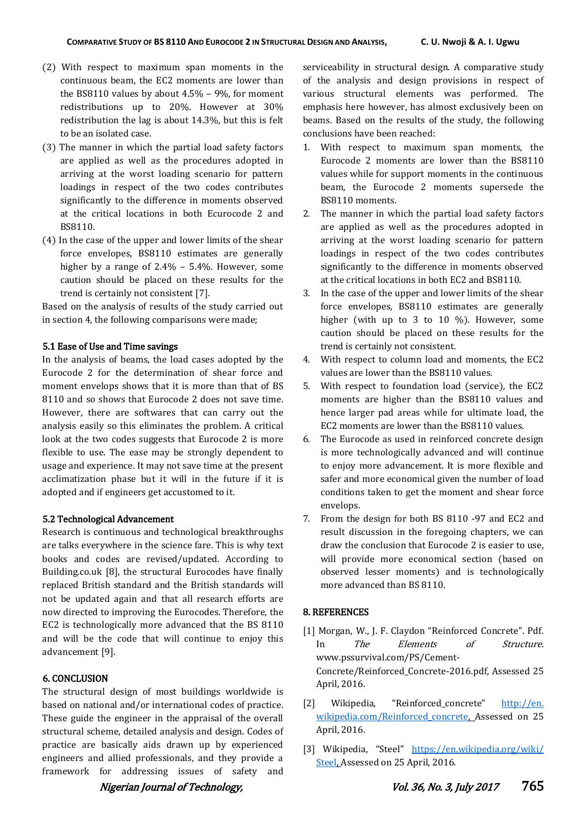- (2) With respect to maximum span moments in the continuous beam, the EC2 moments are lower than the BS8110 values by about 4.5% – 9%, for moment redistributions up to 20%. However at 30% redistribution the lag is about 14.3%, but this is felt to be an isolated case.
- (3) The manner in which the partial load safety factors are applied as well as the procedures adopted in arriving at the worst loading scenario for pattern loadings in respect of the two codes contributes significantly to the difference in moments observed at the critical locations in both Ecurocode 2 and BS8110.
- (4) In the case of the upper and lower limits of the shear force envelopes, BS8110 estimates are generally higher by a range of 2.4% – 5.4%. However, some caution should be placed on these results for the trend is certainly not consistent [7].

Based on the analysis of results of the study carried out in section 4, the following comparisons were made;

#### 5.1 Ease of Use and Time savings

In the analysis of beams, the load cases adopted by the Eurocode 2 for the determination of shear force and moment envelops shows that it is more than that of BS 8110 and so shows that Eurocode 2 does not save time. However, there are softwares that can carry out the analysis easily so this eliminates the problem. A critical look at the two codes suggests that Eurocode 2 is more flexible to use. The ease may be strongly dependent to usage and experience. It may not save time at the present acclimatization phase but it will in the future if it is adopted and if engineers get accustomed to it.

#### 5.2 Technological Advancement

Research is continuous and technological breakthroughs are talks everywhere in the science fare. This is why text books and codes are revised/updated. According to Building.co.uk [8], the structural Eurocodes have finally replaced British standard and the British standards will not be updated again and that all research efforts are now directed to improving the Eurocodes. Therefore, the EC2 is technologically more advanced that the BS 8110 and will be the code that will continue to enjoy this advancement [9].

## 6. CONCLUSION

The structural design of most buildings worldwide is based on national and/or international codes of practice. These guide the engineer in the appraisal of the overall structural scheme, detailed analysis and design. Codes of practice are basically aids drawn up by experienced engineers and allied professionals, and they provide a framework for addressing issues of safety and serviceability in structural design. A comparative study of the analysis and design provisions in respect of various structural elements was performed. The emphasis here however, has almost exclusively been on beams. Based on the results of the study, the following conclusions have been reached:

- 1. With respect to maximum span moments, the Eurocode 2 moments are lower than the BS8110 values while for support moments in the continuous beam, the Eurocode 2 moments supersede the BS8110 moments.
- 2. The manner in which the partial load safety factors are applied as well as the procedures adopted in arriving at the worst loading scenario for pattern loadings in respect of the two codes contributes significantly to the difference in moments observed at the critical locations in both EC2 and BS8110.
- 3. In the case of the upper and lower limits of the shear force envelopes, BS8110 estimates are generally higher (with up to 3 to 10 %). However, some caution should be placed on these results for the trend is certainly not consistent.
- 4. With respect to column load and moments, the EC2 values are lower than the BS8110 values.
- 5. With respect to foundation load (service), the EC2 moments are higher than the BS8110 values and hence larger pad areas while for ultimate load, the EC2 moments are lower than the BS8110 values.
- 6. The Eurocode as used in reinforced concrete design is more technologically advanced and will continue to enjoy more advancement. It is more flexible and safer and more economical given the number of load conditions taken to get the moment and shear force envelops.
- 7. From the design for both BS 8110 -97 and EC2 and result discussion in the foregoing chapters, we can draw the conclusion that Eurocode 2 is easier to use, will provide more economical section (based on observed lesser moments) and is technologically more advanced than BS 8110.

#### 8. REFERENCES

- [1] Morgan, W., J. F. Claydon "Reinforced Concrete". Pdf. In The Elements of Structure. www.pssurvival.com/PS/Cement-Concrete/Reinforced\_Concrete-2016.pdf, Assessed 25 April, 2016.
- [2] Wikipedia, "Reinforced\_concrete" http://en. wikipedia.com/Reinforced concrete, Assessed on 25 April, 2016.
- [3] Wikipedia, "Steel" [https://en.wikipedia.org/wiki/](https://en.wikipedia.org/wiki/%20Steel)  [Steel,](https://en.wikipedia.org/wiki/%20Steel) Assessed on 25 April, 2016.